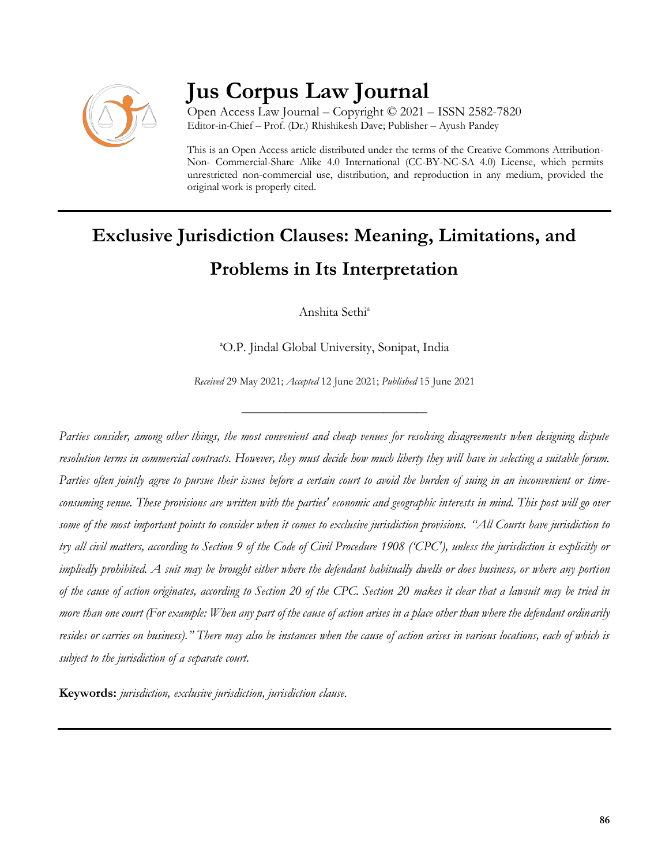

# **Jus Corpus Law Journal**

Open Access Law Journal – Copyright © 2021 – ISSN 2582-7820 Editor-in-Chief – Prof. (Dr.) Rhishikesh Dave; Publisher – Ayush Pandey

This is an Open Access article distributed under the terms of the Creative Commons Attribution-Non- Commercial-Share Alike 4.0 International (CC-BY-NC-SA 4.0) License, which permits unrestricted non-commercial use, distribution, and reproduction in any medium, provided the original work is properly cited.

# **Exclusive Jurisdiction Clauses: Meaning, Limitations, and Problems in Its Interpretation**

Anshita Sethi<sup>a</sup>

<sup>a</sup>O.P. Jindal Global University, Sonipat, India

*Received* 29 May 2021; *Accepted* 12 June 2021; *Published* 15 June 2021

\_\_\_\_\_\_\_\_\_\_\_\_\_\_\_\_\_\_\_\_\_\_\_\_\_\_\_\_\_\_\_\_\_\_

*Parties consider, among other things, the most convenient and cheap venues for resolving disagreements when designing dispute resolution terms in commercial contracts. However, they must decide how much liberty they will have in selecting a suitable forum. Parties often jointly agree to pursue their issues before a certain court to avoid the burden of suing in an inconvenient or timeconsuming venue. These provisions are written with the parties' economic and geographic interests in mind. This post will go over some of the most important points to consider when it comes to exclusive jurisdiction provisions. "All Courts have jurisdiction to try all civil matters, according to Section 9 of the Code of Civil Procedure 1908 ('CPC'), unless the jurisdiction is explicitly or impliedly prohibited. A suit may be brought either where the defendant habitually dwells or does business, or where any portion of the cause of action originates, according to Section 20 of the CPC. Section 20 makes it clear that a lawsuit may be tried in more than one court (For example: When any part of the cause of action arises in a place other than where the defendant ordinarily resides or carries on business)." There may also be instances when the cause of action arises in various locations, each of which is subject to the jurisdiction of a separate court.*

**Keywords:** *jurisdiction, exclusive jurisdiction, jurisdiction clause.*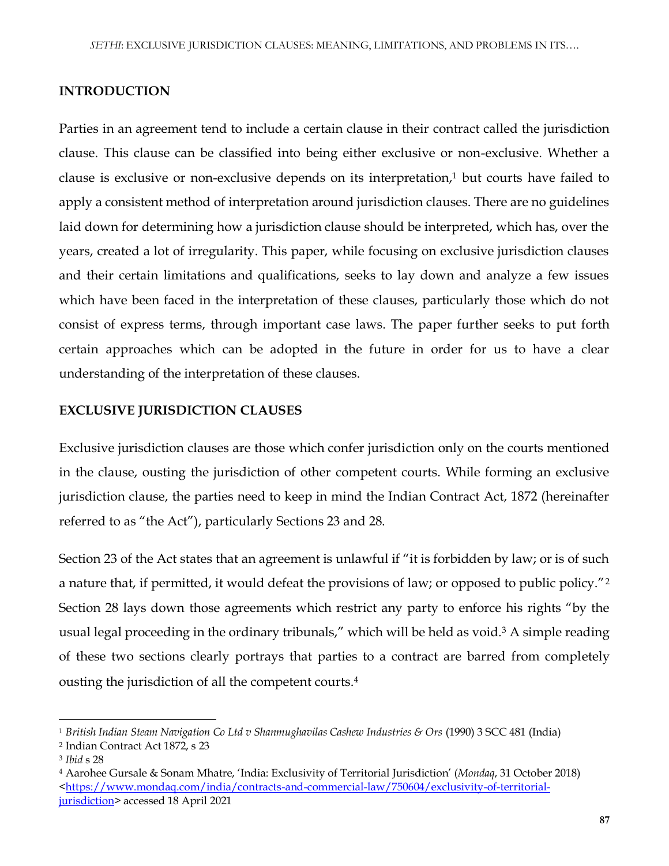#### **INTRODUCTION**

Parties in an agreement tend to include a certain clause in their contract called the jurisdiction clause. This clause can be classified into being either exclusive or non-exclusive. Whether a clause is exclusive or non-exclusive depends on its interpretation, $1$  but courts have failed to apply a consistent method of interpretation around jurisdiction clauses. There are no guidelines laid down for determining how a jurisdiction clause should be interpreted, which has, over the years, created a lot of irregularity. This paper, while focusing on exclusive jurisdiction clauses and their certain limitations and qualifications, seeks to lay down and analyze a few issues which have been faced in the interpretation of these clauses, particularly those which do not consist of express terms, through important case laws. The paper further seeks to put forth certain approaches which can be adopted in the future in order for us to have a clear understanding of the interpretation of these clauses.

#### **EXCLUSIVE JURISDICTION CLAUSES**

Exclusive jurisdiction clauses are those which confer jurisdiction only on the courts mentioned in the clause, ousting the jurisdiction of other competent courts. While forming an exclusive jurisdiction clause, the parties need to keep in mind the Indian Contract Act, 1872 (hereinafter referred to as "the Act"), particularly Sections 23 and 28.

Section 23 of the Act states that an agreement is unlawful if "it is forbidden by law; or is of such a nature that, if permitted, it would defeat the provisions of law; or opposed to public policy."<sup>2</sup> Section 28 lays down those agreements which restrict any party to enforce his rights "by the usual legal proceeding in the ordinary tribunals," which will be held as void.<sup>3</sup> A simple reading of these two sections clearly portrays that parties to a contract are barred from completely ousting the jurisdiction of all the competent courts. 4

<sup>1</sup> *British Indian Steam Navigation Co Ltd v Shanmughavilas Cashew Industries & Ors* (1990) 3 SCC 481 (India)

<sup>2</sup> Indian Contract Act 1872, s 23

<sup>3</sup> *Ibid* s 28

<sup>4</sup> Aarohee Gursale & Sonam Mhatre, 'India: Exclusivity of Territorial Jurisdiction' (*Mondaq*, 31 October 2018) [<https://www.mondaq.com/india/contracts-and-commercial-law/750604/exclusivity-of-territorial](https://www.mondaq.com/india/contracts-and-commercial-law/750604/exclusivity-of-territorial-jurisdiction)[jurisdiction>](https://www.mondaq.com/india/contracts-and-commercial-law/750604/exclusivity-of-territorial-jurisdiction) accessed 18 April 2021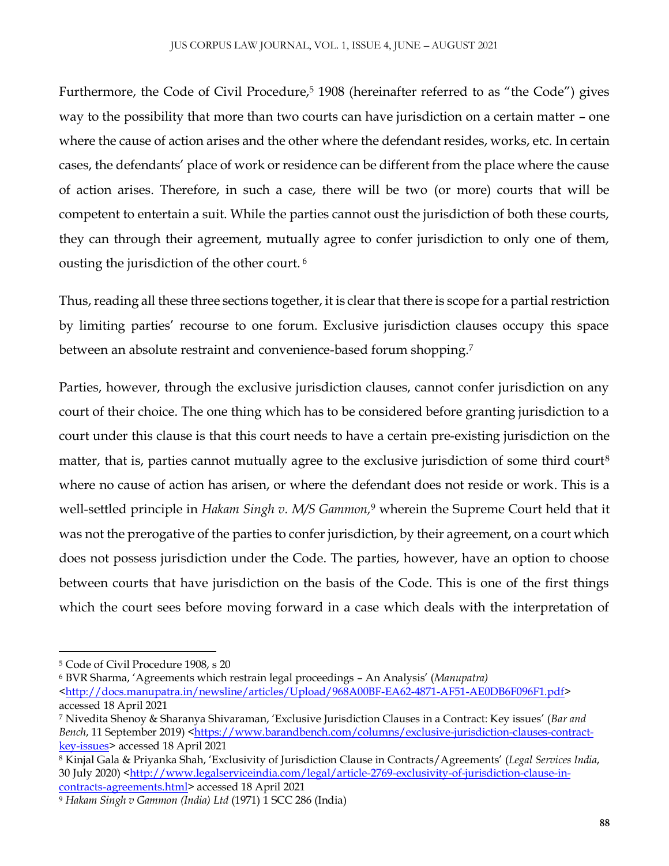Furthermore, the Code of Civil Procedure,<sup>5</sup> 1908 (hereinafter referred to as "the Code") gives way to the possibility that more than two courts can have jurisdiction on a certain matter – one where the cause of action arises and the other where the defendant resides, works, etc. In certain cases, the defendants' place of work or residence can be different from the place where the cause of action arises. Therefore, in such a case, there will be two (or more) courts that will be competent to entertain a suit. While the parties cannot oust the jurisdiction of both these courts, they can through their agreement, mutually agree to confer jurisdiction to only one of them, ousting the jurisdiction of the other court. <sup>6</sup>

Thus, reading all these three sections together, it is clear that there is scope for a partial restriction by limiting parties' recourse to one forum. Exclusive jurisdiction clauses occupy this space between an absolute restraint and convenience-based forum shopping.<sup>7</sup>

Parties, however, through the exclusive jurisdiction clauses, cannot confer jurisdiction on any court of their choice. The one thing which has to be considered before granting jurisdiction to a court under this clause is that this court needs to have a certain pre-existing jurisdiction on the matter, that is, parties cannot mutually agree to the exclusive jurisdiction of some third court<sup>8</sup> where no cause of action has arisen, or where the defendant does not reside or work. This is a well-settled principle in *Hakam Singh v. M/S Gammon,*<sup>9</sup> wherein the Supreme Court held that it was not the prerogative of the parties to confer jurisdiction, by their agreement, on a court which does not possess jurisdiction under the Code. The parties, however, have an option to choose between courts that have jurisdiction on the basis of the Code. This is one of the first things which the court sees before moving forward in a case which deals with the interpretation of

<sup>5</sup> Code of Civil Procedure 1908, s 20

<sup>6</sup> BVR Sharma, 'Agreements which restrain legal proceedings – An Analysis' (*Manupatra) <*[http://docs.manupatra.in/newsline/articles/Upload/968A00BF-EA62-4871-AF51-AE0DB6F096F1.pdf>](http://docs.manupatra.in/newsline/articles/Upload/968A00BF-EA62-4871-AF51-AE0DB6F096F1.pdf) accessed 18 April 2021

<sup>7</sup> Nivedita Shenoy & Sharanya Shivaraman, 'Exclusive Jurisdiction Clauses in a Contract: Key issues' (*Bar and Bench*, 11 September 2019) [<https://www.barandbench.com/columns/exclusive-jurisdiction-clauses-contract](https://www.barandbench.com/columns/exclusive-jurisdiction-clauses-contract-key-issues)[key-issues>](https://www.barandbench.com/columns/exclusive-jurisdiction-clauses-contract-key-issues) accessed 18 April 2021

<sup>8</sup> Kinjal Gala & Priyanka Shah, 'Exclusivity of Jurisdiction Clause in Contracts/Agreements' (*Legal Services India*, 30 July 2020) [<http://www.legalserviceindia.com/legal/article-2769-exclusivity-of-jurisdiction-clause-in](http://www.legalserviceindia.com/legal/article-2769-exclusivity-of-jurisdiction-clause-in-contracts-agreements.html)[contracts-agreements.html>](http://www.legalserviceindia.com/legal/article-2769-exclusivity-of-jurisdiction-clause-in-contracts-agreements.html) accessed 18 April 2021

<sup>9</sup> *Hakam Singh v Gammon (India) Ltd* (1971) 1 SCC 286 (India)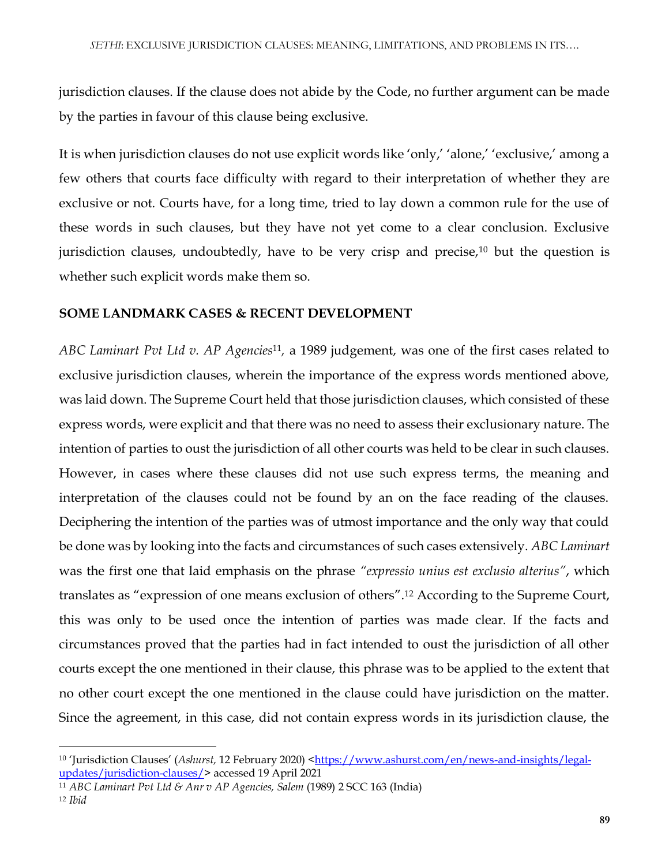jurisdiction clauses. If the clause does not abide by the Code, no further argument can be made by the parties in favour of this clause being exclusive.

It is when jurisdiction clauses do not use explicit words like 'only,' 'alone,' 'exclusive,' among a few others that courts face difficulty with regard to their interpretation of whether they are exclusive or not. Courts have, for a long time, tried to lay down a common rule for the use of these words in such clauses, but they have not yet come to a clear conclusion. Exclusive jurisdiction clauses, undoubtedly, have to be very crisp and precise, $10$  but the question is whether such explicit words make them so.

#### **SOME LANDMARK CASES & RECENT DEVELOPMENT**

*ABC Laminart Pvt Ltd v. AP Agencies*<sup>11</sup> *,* a 1989 judgement, was one of the first cases related to exclusive jurisdiction clauses, wherein the importance of the express words mentioned above, was laid down. The Supreme Court held that those jurisdiction clauses, which consisted of these express words, were explicit and that there was no need to assess their exclusionary nature. The intention of parties to oust the jurisdiction of all other courts was held to be clear in such clauses. However, in cases where these clauses did not use such express terms, the meaning and interpretation of the clauses could not be found by an on the face reading of the clauses. Deciphering the intention of the parties was of utmost importance and the only way that could be done was by looking into the facts and circumstances of such cases extensively. *ABC Laminart* was the first one that laid emphasis on the phrase *"expressio unius est exclusio alterius"*, which translates as "expression of one means exclusion of others". <sup>12</sup> According to the Supreme Court, this was only to be used once the intention of parties was made clear. If the facts and circumstances proved that the parties had in fact intended to oust the jurisdiction of all other courts except the one mentioned in their clause, this phrase was to be applied to the extent that no other court except the one mentioned in the clause could have jurisdiction on the matter. Since the agreement, in this case, did not contain express words in its jurisdiction clause, the

 $\overline{\phantom{a}}$ <sup>10</sup> 'Jurisdiction Clauses' (*Ashurst*, 12 February 2020) [<https://www.ashurst.com/en/news-and-insights/legal](https://www.ashurst.com/en/news-and-insights/legal-updates/jurisdiction-clauses/)[updates/jurisdiction-clauses/>](https://www.ashurst.com/en/news-and-insights/legal-updates/jurisdiction-clauses/) accessed 19 April 2021

<sup>11</sup> *ABC Laminart Pvt Ltd & Anr v AP Agencies, Salem* (1989) 2 SCC 163 (India)

<sup>12</sup> *Ibid*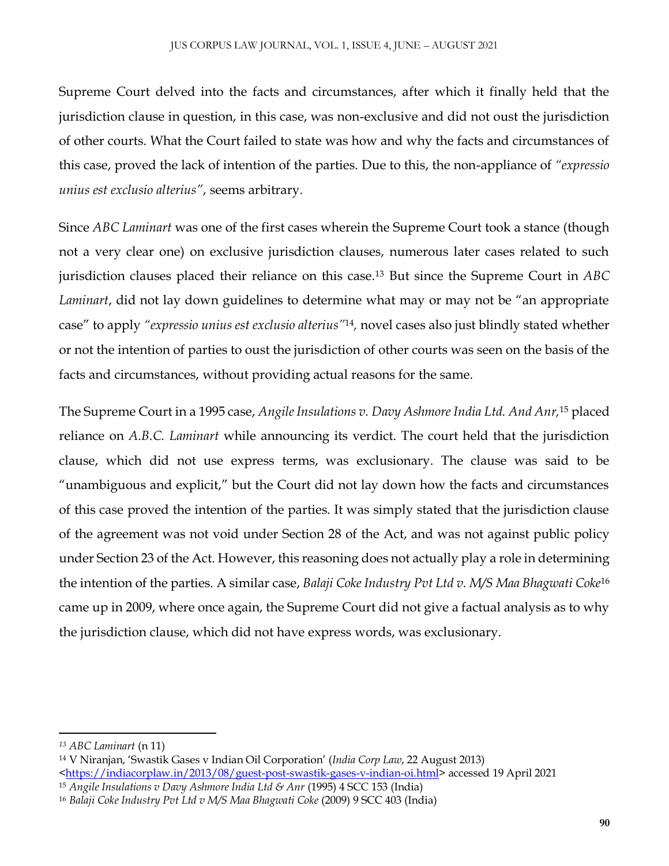Supreme Court delved into the facts and circumstances, after which it finally held that the jurisdiction clause in question, in this case, was non-exclusive and did not oust the jurisdiction of other courts. What the Court failed to state was how and why the facts and circumstances of this case, proved the lack of intention of the parties. Due to this, the non-appliance of *"expressio unius est exclusio alterius"*, seems arbitrary.

Since *ABC Laminart* was one of the first cases wherein the Supreme Court took a stance (though not a very clear one) on exclusive jurisdiction clauses, numerous later cases related to such jurisdiction clauses placed their reliance on this case.<sup>13</sup> But since the Supreme Court in *ABC Laminart*, did not lay down guidelines to determine what may or may not be "an appropriate case" to apply *"expressio unius est exclusio alterius"* 14 *,* novel cases also just blindly stated whether or not the intention of parties to oust the jurisdiction of other courts was seen on the basis of the facts and circumstances, without providing actual reasons for the same.

The Supreme Court in a 1995 case, *Angile Insulations v. Davy Ashmore India Ltd. And Anr,*<sup>15</sup> placed reliance on *A.B.C. Laminart* while announcing its verdict. The court held that the jurisdiction clause, which did not use express terms, was exclusionary. The clause was said to be "unambiguous and explicit," but the Court did not lay down how the facts and circumstances of this case proved the intention of the parties. It was simply stated that the jurisdiction clause of the agreement was not void under Section 28 of the Act, and was not against public policy under Section 23 of the Act. However, this reasoning does not actually play a role in determining the intention of the parties. A similar case, *Balaji Coke Industry Pvt Ltd v. M/S Maa Bhagwati Coke*<sup>16</sup> came up in 2009, where once again, the Supreme Court did not give a factual analysis as to why the jurisdiction clause, which did not have express words, was exclusionary.

*<sup>13</sup> ABC Laminart* (n 11)

<sup>14</sup> V Niranjan, 'Swastik Gases v Indian Oil Corporation' (*India Corp Law*, 22 August 2013)

[<sup>&</sup>lt;https://indiacorplaw.in/2013/08/guest-post-swastik-gases-v-indian-oi.html>](https://indiacorplaw.in/2013/08/guest-post-swastik-gases-v-indian-oi.html) accessed 19 April 2021

<sup>15</sup> *Angile Insulations v Davy Ashmore India Ltd & Anr* (1995) 4 SCC 153 (India)

<sup>16</sup> *Balaji Coke Industry Pvt Ltd v M/S Maa Bhagwati Coke* (2009) 9 SCC 403 (India)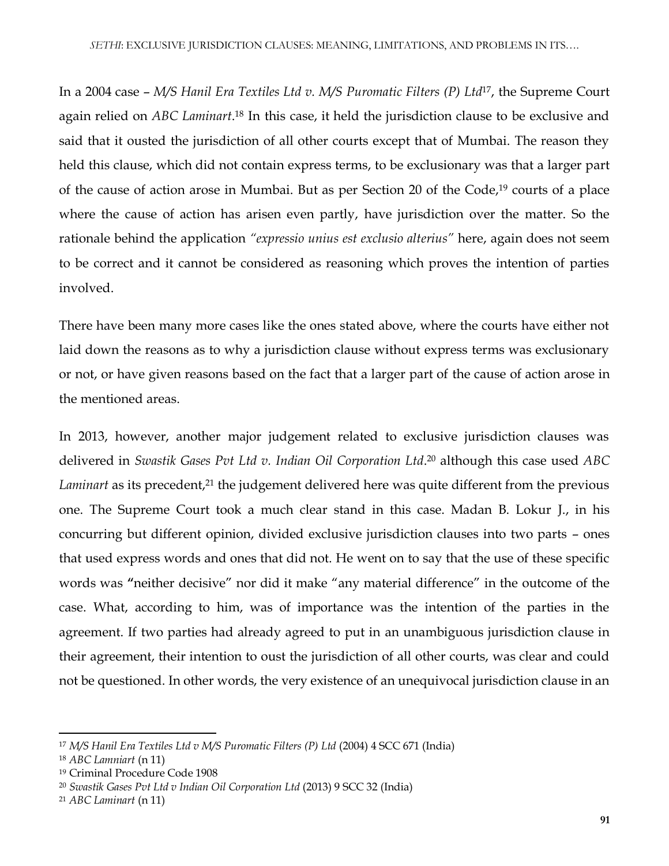In a 2004 case – *M/S Hanil Era Textiles Ltd v. M/S Puromatic Filters (P) Ltd*<sup>17</sup> , the Supreme Court again relied on *ABC Laminart*. <sup>18</sup> In this case, it held the jurisdiction clause to be exclusive and said that it ousted the jurisdiction of all other courts except that of Mumbai. The reason they held this clause, which did not contain express terms, to be exclusionary was that a larger part of the cause of action arose in Mumbai. But as per Section 20 of the Code,<sup>19</sup> courts of a place where the cause of action has arisen even partly, have jurisdiction over the matter. So the rationale behind the application *"expressio unius est exclusio alterius"* here, again does not seem to be correct and it cannot be considered as reasoning which proves the intention of parties involved.

There have been many more cases like the ones stated above, where the courts have either not laid down the reasons as to why a jurisdiction clause without express terms was exclusionary or not, or have given reasons based on the fact that a larger part of the cause of action arose in the mentioned areas.

In 2013, however, another major judgement related to exclusive jurisdiction clauses was delivered in *Swastik Gases Pvt Ltd v. Indian Oil Corporation Ltd*. <sup>20</sup> although this case used *ABC Laminart* as its precedent,<sup>21</sup> the judgement delivered here was quite different from the previous one. The Supreme Court took a much clear stand in this case. Madan B. Lokur J., in his concurring but different opinion, divided exclusive jurisdiction clauses into two parts – ones that used express words and ones that did not. He went on to say that the use of these specific words was **"**neither decisive" nor did it make "any material difference" in the outcome of the case. What, according to him, was of importance was the intention of the parties in the agreement. If two parties had already agreed to put in an unambiguous jurisdiction clause in their agreement, their intention to oust the jurisdiction of all other courts, was clear and could not be questioned. In other words, the very existence of an unequivocal jurisdiction clause in an

<sup>17</sup> *M/S Hanil Era Textiles Ltd v M/S Puromatic Filters (P) Ltd* (2004) 4 SCC 671 (India)

<sup>18</sup> *ABC Lamniart* (n 11)

<sup>19</sup> Criminal Procedure Code 1908

<sup>20</sup> *Swastik Gases Pvt Ltd v Indian Oil Corporation Ltd* (2013) 9 SCC 32 (India)

<sup>21</sup> *ABC Laminart* (n 11)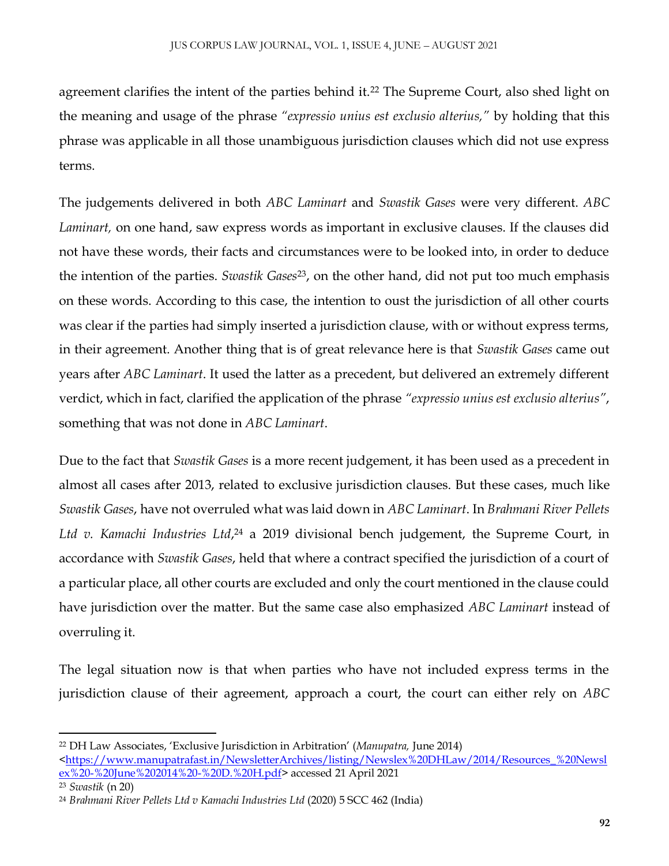agreement clarifies the intent of the parties behind it.<sup>22</sup> The Supreme Court, also shed light on the meaning and usage of the phrase *"expressio unius est exclusio alterius,"* by holding that this phrase was applicable in all those unambiguous jurisdiction clauses which did not use express terms.

The judgements delivered in both *ABC Laminart* and *Swastik Gases* were very different. *ABC Laminart,* on one hand, saw express words as important in exclusive clauses. If the clauses did not have these words, their facts and circumstances were to be looked into, in order to deduce the intention of the parties. *Swastik Gases*<sup>23</sup> , on the other hand, did not put too much emphasis on these words. According to this case, the intention to oust the jurisdiction of all other courts was clear if the parties had simply inserted a jurisdiction clause, with or without express terms, in their agreement. Another thing that is of great relevance here is that *Swastik Gases* came out years after *ABC Laminart*. It used the latter as a precedent, but delivered an extremely different verdict, which in fact, clarified the application of the phrase *"expressio unius est exclusio alterius"*, something that was not done in *ABC Laminart*.

Due to the fact that *Swastik Gases* is a more recent judgement, it has been used as a precedent in almost all cases after 2013, related to exclusive jurisdiction clauses. But these cases, much like *Swastik Gases*, have not overruled what was laid down in *ABC Laminart*. In *Brahmani River Pellets*  Ltd v. Kamachi Industries Ltd,<sup>24</sup> a 2019 divisional bench judgement, the Supreme Court, in accordance with *Swastik Gases*, held that where a contract specified the jurisdiction of a court of a particular place, all other courts are excluded and only the court mentioned in the clause could have jurisdiction over the matter. But the same case also emphasized *ABC Laminart* instead of overruling it.

The legal situation now is that when parties who have not included express terms in the jurisdiction clause of their agreement, approach a court, the court can either rely on *ABC* 

<sup>22</sup> DH Law Associates, 'Exclusive Jurisdiction in Arbitration' (*Manupatra,* June 2014) [<https://www.manupatrafast.in/NewsletterArchives/listing/Newslex%20DHLaw/2014/Resources\\_%20Newsl](https://www.manupatrafast.in/NewsletterArchives/listing/Newslex%20DHLaw/2014/Resources_%20Newslex%20-%20June%202014%20-%20D.%20H.pdf) [ex%20-%20June%202014%20-%20D.%20H.pdf>](https://www.manupatrafast.in/NewsletterArchives/listing/Newslex%20DHLaw/2014/Resources_%20Newslex%20-%20June%202014%20-%20D.%20H.pdf) accessed 21 April 2021

<sup>23</sup> *Swastik* (n 20)

<sup>24</sup> *Brahmani River Pellets Ltd v Kamachi Industries Ltd* (2020) 5 SCC 462 (India)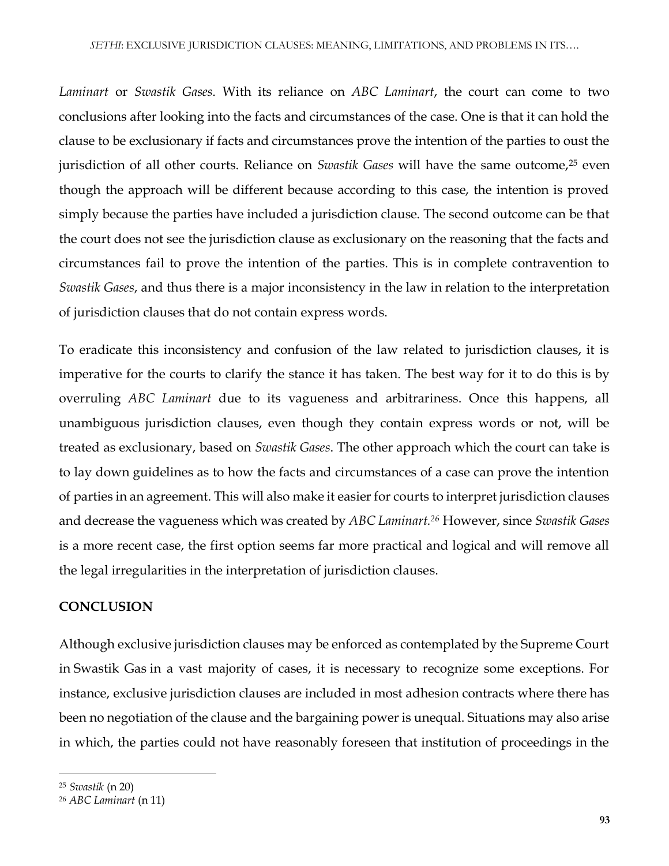*Laminart* or *Swastik Gases*. With its reliance on *ABC Laminart*, the court can come to two conclusions after looking into the facts and circumstances of the case. One is that it can hold the clause to be exclusionary if facts and circumstances prove the intention of the parties to oust the jurisdiction of all other courts. Reliance on *Swastik Gases* will have the same outcome,<sup>25</sup> even though the approach will be different because according to this case, the intention is proved simply because the parties have included a jurisdiction clause. The second outcome can be that the court does not see the jurisdiction clause as exclusionary on the reasoning that the facts and circumstances fail to prove the intention of the parties. This is in complete contravention to *Swastik Gases*, and thus there is a major inconsistency in the law in relation to the interpretation of jurisdiction clauses that do not contain express words.

To eradicate this inconsistency and confusion of the law related to jurisdiction clauses, it is imperative for the courts to clarify the stance it has taken. The best way for it to do this is by overruling *ABC Laminart* due to its vagueness and arbitrariness. Once this happens, all unambiguous jurisdiction clauses, even though they contain express words or not, will be treated as exclusionary, based on *Swastik Gases*. The other approach which the court can take is to lay down guidelines as to how the facts and circumstances of a case can prove the intention of parties in an agreement. This will also make it easier for courts to interpret jurisdiction clauses and decrease the vagueness which was created by *ABC Laminart.<sup>26</sup>* However, since *Swastik Gases* is a more recent case, the first option seems far more practical and logical and will remove all the legal irregularities in the interpretation of jurisdiction clauses.

### **CONCLUSION**

Although exclusive jurisdiction clauses may be enforced as contemplated by the Supreme Court in Swastik Gas in a vast majority of cases, it is necessary to recognize some exceptions. For instance, exclusive jurisdiction clauses are included in most adhesion contracts where there has been no negotiation of the clause and the bargaining power is unequal. Situations may also arise in which, the parties could not have reasonably foreseen that institution of proceedings in the

 $\overline{\phantom{a}}$ 

<sup>25</sup> *Swastik* (n 20)

<sup>26</sup> *ABC Laminart* (n 11)